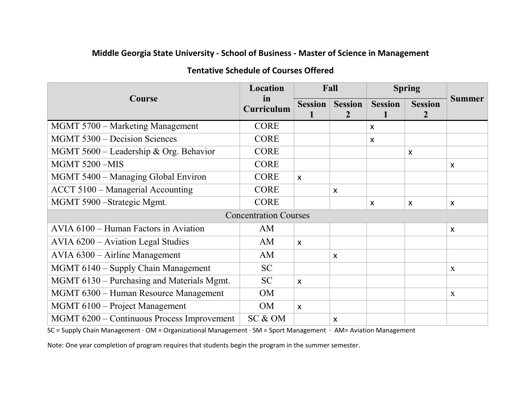## **Middle Georgia State University - School of Business - Master of Science in Management**

| Course                                     | Location                   | Fall                      |                     | <b>Spring</b>  |                                  |                           |  |  |  |  |
|--------------------------------------------|----------------------------|---------------------------|---------------------|----------------|----------------------------------|---------------------------|--|--|--|--|
|                                            | $\mathbf{m}$<br>Curriculum | <b>Session</b>            | <b>Session</b><br>2 | <b>Session</b> | <b>Session</b><br>$\overline{2}$ | <b>Summer</b>             |  |  |  |  |
| MGMT 5700 – Marketing Management           | <b>CORE</b>                |                           |                     | X              |                                  |                           |  |  |  |  |
| MGMT 5300 – Decision Sciences              | <b>CORE</b>                |                           |                     | $\mathsf{x}$   |                                  |                           |  |  |  |  |
| MGMT 5600 - Leadership & Org. Behavior     | <b>CORE</b>                |                           |                     |                | X                                |                           |  |  |  |  |
| <b>MGMT 5200 -MIS</b>                      | <b>CORE</b>                |                           |                     |                |                                  | $\boldsymbol{\mathsf{x}}$ |  |  |  |  |
| MGMT 5400 - Managing Global Environ        | <b>CORE</b>                | $\mathsf{x}$              |                     |                |                                  |                           |  |  |  |  |
| ACCT 5100 - Managerial Accounting          | <b>CORE</b>                |                           | X                   |                |                                  |                           |  |  |  |  |
| MGMT 5900 – Strategic Mgmt.                | <b>CORE</b>                |                           |                     | X              | X                                | $\boldsymbol{\mathsf{x}}$ |  |  |  |  |
| <b>Concentration Courses</b>               |                            |                           |                     |                |                                  |                           |  |  |  |  |
| AVIA 6100 – Human Factors in Aviation      | AM                         |                           |                     |                |                                  | $\boldsymbol{\mathsf{x}}$ |  |  |  |  |
| $AVIA 6200 - Aviation Legal Studies$       | AM                         | $\boldsymbol{\mathsf{X}}$ |                     |                |                                  |                           |  |  |  |  |
| $AVIA 6300 - Airline Management$           | AM                         |                           | X                   |                |                                  |                           |  |  |  |  |
| MGMT 6140 – Supply Chain Management        | <b>SC</b>                  |                           |                     |                |                                  | $\mathbf{X}$              |  |  |  |  |
| MGMT 6130 – Purchasing and Materials Mgmt. | <b>SC</b>                  | $\boldsymbol{\mathsf{x}}$ |                     |                |                                  |                           |  |  |  |  |
| MGMT 6300 - Human Resource Management      | <b>OM</b>                  |                           |                     |                |                                  | X                         |  |  |  |  |
| MGMT 6100 – Project Management             | <b>OM</b>                  | $\boldsymbol{\mathsf{X}}$ |                     |                |                                  |                           |  |  |  |  |
| MGMT 6200 – Continuous Process Improvement | SC & OM                    |                           | X                   |                |                                  |                           |  |  |  |  |

## **Tentative Schedule of Courses Offered**

SC = Supply Chain Management · OM = Organizational Management · SM = Sport Management · AM= Aviation Management

Note: One year completion of program requires that students begin the program in the summer semester.